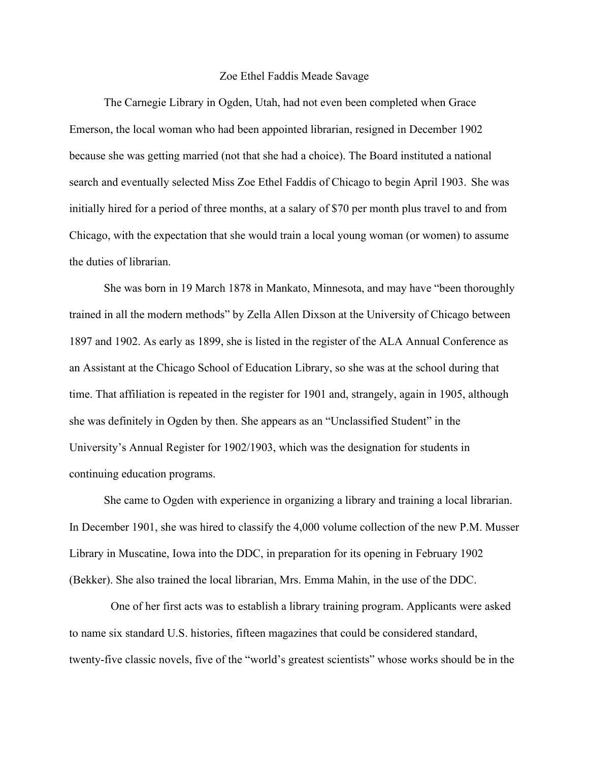## Zoe Ethel Faddis Meade Savage

The Carnegie Library in Ogden, Utah, had not even been completed when Grace Emerson, the local woman who had been appointed librarian, resigned in December 1902 because she was getting married (not that she had a choice). The Board instituted a national search and eventually selected Miss Zoe Ethel Faddis of Chicago to begin April 1903. She was initially hired for a period of three months, at a salary of \$70 per month plus travel to and from Chicago, with the expectation that she would train a local young woman (or women) to assume the duties of librarian.

She was born in 19 March 1878 in Mankato, Minnesota, and may have "been thoroughly trained in all the modern methods" by Zella Allen Dixson at the University of Chicago between 1897 and 1902. As early as 1899, she is listed in the register of the ALA Annual Conference as an Assistant at the Chicago School of Education Library, so she was at the school during that time. That affiliation is repeated in the register for 1901 and, strangely, again in 1905, although she was definitely in Ogden by then. She appears as an "Unclassified Student" in the University's Annual Register for 1902/1903, which was the designation for students in continuing education programs.

She came to Ogden with experience in organizing a library and training a local librarian. In December 1901, she was hired to classify the 4,000 volume collection of the new P.M. Musser Library in Muscatine, Iowa into the DDC, in preparation for its opening in February 1902 (Bekker). She also trained the local librarian, Mrs. Emma Mahin, in the use of the DDC.

One of her first acts was to establish a library training program. Applicants were asked to name six standard U.S. histories, fifteen magazines that could be considered standard, twenty-five classic novels, five of the "world's greatest scientists" whose works should be in the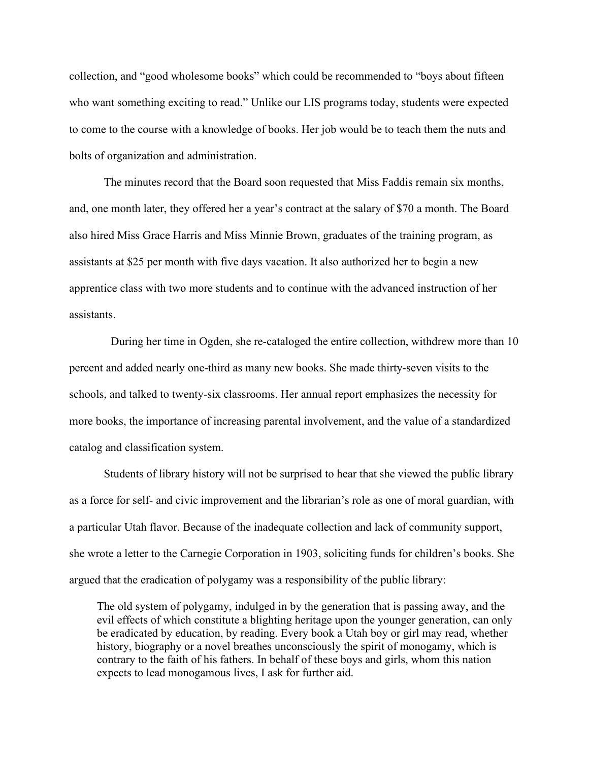collection, and "good wholesome books" which could be recommended to "boys about fifteen who want something exciting to read." Unlike our LIS programs today, students were expected to come to the course with a knowledge of books. Her job would be to teach them the nuts and bolts of organization and administration.

The minutes record that the Board soon requested that Miss Faddis remain six months, and, one month later, they offered her a year's contract at the salary of \$70 a month. The Board also hired Miss Grace Harris and Miss Minnie Brown, graduates of the training program, as assistants at \$25 per month with five days vacation. It also authorized her to begin a new apprentice class with two more students and to continue with the advanced instruction of her assistants.

During her time in Ogden, she re-cataloged the entire collection, withdrew more than 10 percent and added nearly one-third as many new books. She made thirty-seven visits to the schools, and talked to twenty-six classrooms. Her annual report emphasizes the necessity for more books, the importance of increasing parental involvement, and the value of a standardized catalog and classification system.

Students of library history will not be surprised to hear that she viewed the public library as a force for self- and civic improvement and the librarian's role as one of moral guardian, with a particular Utah flavor. Because of the inadequate collection and lack of community support, she wrote a letter to the Carnegie Corporation in 1903, soliciting funds for children's books. She argued that the eradication of polygamy was a responsibility of the public library:

The old system of polygamy, indulged in by the generation that is passing away, and the evil effects of which constitute a blighting heritage upon the younger generation, can only be eradicated by education, by reading. Every book a Utah boy or girl may read, whether history, biography or a novel breathes unconsciously the spirit of monogamy, which is contrary to the faith of his fathers. In behalf of these boys and girls, whom this nation expects to lead monogamous lives, I ask for further aid.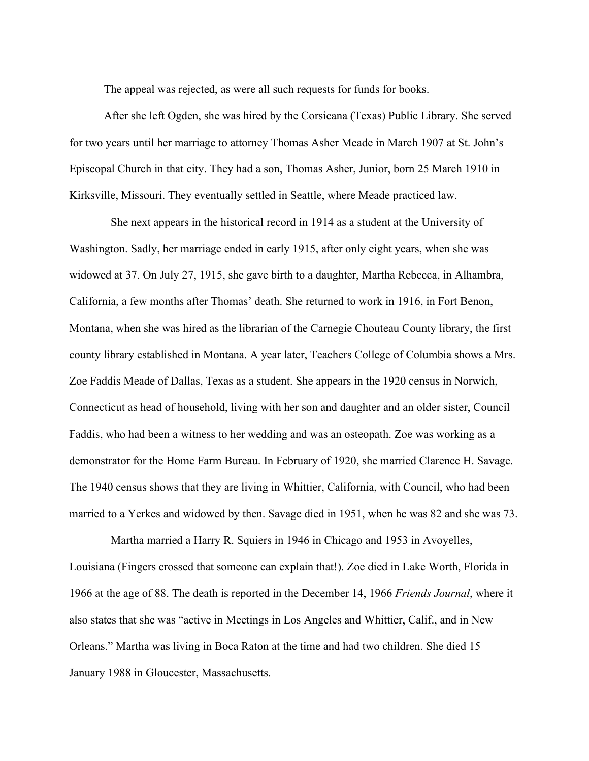The appeal was rejected, as were all such requests for funds for books.

After she left Ogden, she was hired by the Corsicana (Texas) Public Library. She served for two years until her marriage to attorney Thomas Asher Meade in March 1907 at St. John's Episcopal Church in that city. They had a son, Thomas Asher, Junior, born 25 March 1910 in Kirksville, Missouri. They eventually settled in Seattle, where Meade practiced law.

She next appears in the historical record in 1914 as a student at the University of Washington. Sadly, her marriage ended in early 1915, after only eight years, when she was widowed at 37. On July 27, 1915, she gave birth to a daughter, Martha Rebecca, in Alhambra, California, a few months after Thomas' death. She returned to work in 1916, in Fort Benon, Montana, when she was hired as the librarian of the Carnegie Chouteau County library, the first county library established in Montana. A year later, Teachers College of Columbia shows a Mrs. Zoe Faddis Meade of Dallas, Texas as a student. She appears in the 1920 census in Norwich, Connecticut as head of household, living with her son and daughter and an older sister, Council Faddis, who had been a witness to her wedding and was an osteopath. Zoe was working as a demonstrator for the Home Farm Bureau. In February of 1920, she married Clarence H. Savage. The 1940 census shows that they are living in Whittier, California, with Council, who had been married to a Yerkes and widowed by then. Savage died in 1951, when he was 82 and she was 73.

Martha married a Harry R. Squiers in 1946 in Chicago and 1953 in Avoyelles, Louisiana (Fingers crossed that someone can explain that!). Zoe died in Lake Worth, Florida in 1966 at the age of 88. The death is reported in the December 14, 1966 *Friends Journal*, where it also states that she was "active in Meetings in Los Angeles and Whittier, Calif., and in New Orleans." Martha was living in Boca Raton at the time and had two children. She died 15 January 1988 in Gloucester, Massachusetts.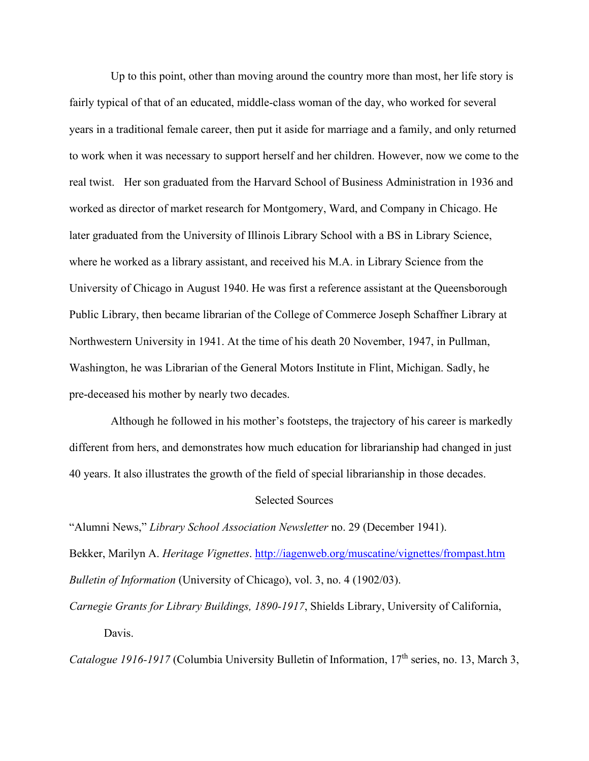Up to this point, other than moving around the country more than most, her life story is fairly typical of that of an educated, middle-class woman of the day, who worked for several years in a traditional female career, then put it aside for marriage and a family, and only returned to work when it was necessary to support herself and her children. However, now we come to the real twist. Her son graduated from the Harvard School of Business Administration in 1936 and worked as director of market research for Montgomery, Ward, and Company in Chicago. He later graduated from the University of Illinois Library School with a BS in Library Science, where he worked as a library assistant, and received his M.A. in Library Science from the University of Chicago in August 1940. He was first a reference assistant at the Queensborough Public Library, then became librarian of the College of Commerce Joseph Schaffner Library at Northwestern University in 1941. At the time of his death 20 November, 1947, in Pullman, Washington, he was Librarian of the General Motors Institute in Flint, Michigan. Sadly, he pre-deceased his mother by nearly two decades.

Although he followed in his mother's footsteps, the trajectory of his career is markedly different from hers, and demonstrates how much education for librarianship had changed in just 40 years. It also illustrates the growth of the field of special librarianship in those decades.

## Selected Sources

"Alumni News," *Library School Association Newsletter* no. 29 (December 1941).

Bekker, Marilyn A. *Heritage Vignettes*. http://iagenweb.org/muscatine/vignettes/frompast.htm *Bulletin of Information* (University of Chicago), vol. 3, no. 4 (1902/03).

*Carnegie Grants for Library Buildings, 1890-1917*, Shields Library, University of California, Davis.

*Catalogue 1916-1917 (Columbia University Bulletin of Information, 17<sup>th</sup> series, no. 13, March 3,*